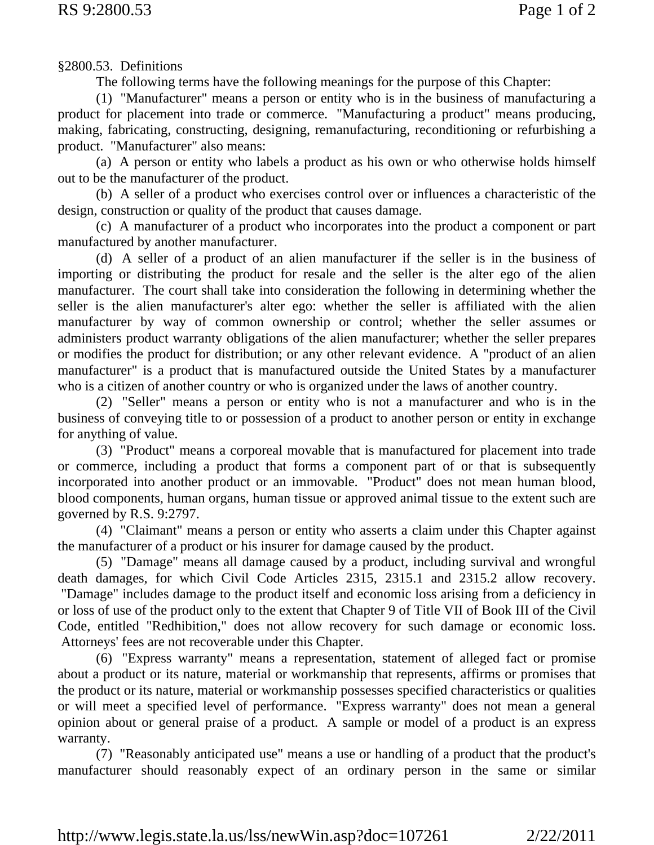§2800.53. Definitions

The following terms have the following meanings for the purpose of this Chapter:

(1) "Manufacturer" means a person or entity who is in the business of manufacturing a product for placement into trade or commerce. "Manufacturing a product" means producing, making, fabricating, constructing, designing, remanufacturing, reconditioning or refurbishing a product. "Manufacturer" also means:

(a) A person or entity who labels a product as his own or who otherwise holds himself out to be the manufacturer of the product.

(b) A seller of a product who exercises control over or influences a characteristic of the design, construction or quality of the product that causes damage.

(c) A manufacturer of a product who incorporates into the product a component or part manufactured by another manufacturer.

(d) A seller of a product of an alien manufacturer if the seller is in the business of importing or distributing the product for resale and the seller is the alter ego of the alien manufacturer. The court shall take into consideration the following in determining whether the seller is the alien manufacturer's alter ego: whether the seller is affiliated with the alien manufacturer by way of common ownership or control; whether the seller assumes or administers product warranty obligations of the alien manufacturer; whether the seller prepares or modifies the product for distribution; or any other relevant evidence. A "product of an alien manufacturer" is a product that is manufactured outside the United States by a manufacturer who is a citizen of another country or who is organized under the laws of another country.

(2) "Seller" means a person or entity who is not a manufacturer and who is in the business of conveying title to or possession of a product to another person or entity in exchange for anything of value.

(3) "Product" means a corporeal movable that is manufactured for placement into trade or commerce, including a product that forms a component part of or that is subsequently incorporated into another product or an immovable. "Product" does not mean human blood, blood components, human organs, human tissue or approved animal tissue to the extent such are governed by R.S. 9:2797.

(4) "Claimant" means a person or entity who asserts a claim under this Chapter against the manufacturer of a product or his insurer for damage caused by the product.

(5) "Damage" means all damage caused by a product, including survival and wrongful death damages, for which Civil Code Articles 2315, 2315.1 and 2315.2 allow recovery. "Damage" includes damage to the product itself and economic loss arising from a deficiency in or loss of use of the product only to the extent that Chapter 9 of Title VII of Book III of the Civil Code, entitled "Redhibition," does not allow recovery for such damage or economic loss. Attorneys' fees are not recoverable under this Chapter.

(6) "Express warranty" means a representation, statement of alleged fact or promise about a product or its nature, material or workmanship that represents, affirms or promises that the product or its nature, material or workmanship possesses specified characteristics or qualities or will meet a specified level of performance. "Express warranty" does not mean a general opinion about or general praise of a product. A sample or model of a product is an express warranty.

(7) "Reasonably anticipated use" means a use or handling of a product that the product's manufacturer should reasonably expect of an ordinary person in the same or similar